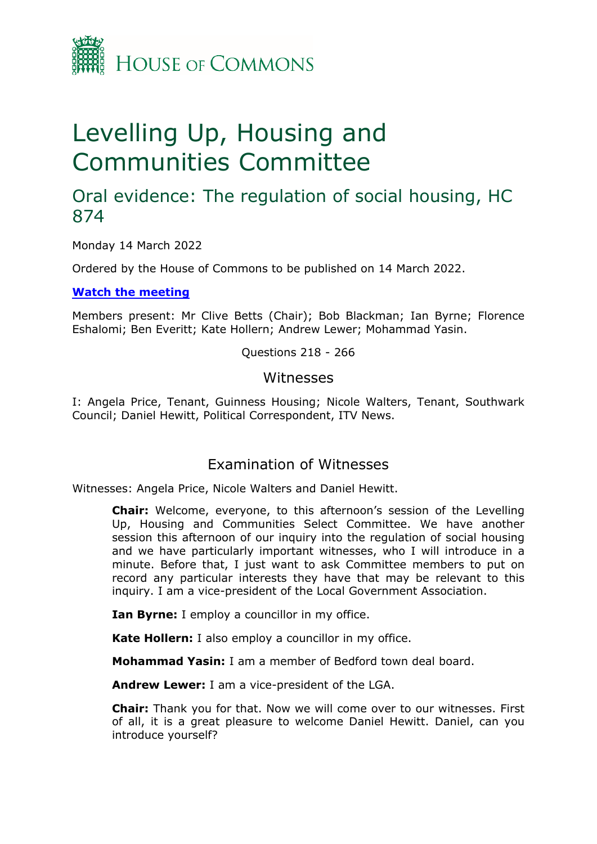

# Levelling Up, Housing and Communities Committee

## Oral evidence: The regulation of social housing, HC 874

Monday 14 March 2022

Ordered by the House of Commons to be published on 14 March 2022.

**[Watch](https://parliamentlive.tv/Event/Index/2e5dc791-eecf-40df-950b-66b20a723098) [the](https://parliamentlive.tv/Event/Index/2e5dc791-eecf-40df-950b-66b20a723098) [meeting](https://parliamentlive.tv/Event/Index/2e5dc791-eecf-40df-950b-66b20a723098)**

Members present: Mr Clive Betts (Chair); Bob Blackman; Ian Byrne; Florence Eshalomi; Ben Everitt; Kate Hollern; Andrew Lewer; Mohammad Yasin.

Questions 218 - 266

#### Witnesses

I: Angela Price, Tenant, Guinness Housing; Nicole Walters, Tenant, Southwark Council; Daniel Hewitt, Political Correspondent, ITV News.

### Examination of Witnesses

Witnesses: Angela Price, Nicole Walters and Daniel Hewitt.

**Chair:** Welcome, everyone, to this afternoon's session of the Levelling Up, Housing and Communities Select Committee. We have another session this afternoon of our inquiry into the regulation of social housing and we have particularly important witnesses, who I will introduce in a minute. Before that, I just want to ask Committee members to put on record any particular interests they have that may be relevant to this inquiry. I am a vice-president of the Local Government Association.

**Ian Byrne:** I employ a councillor in my office.

**Kate Hollern:** I also employ a councillor in my office.

**Mohammad Yasin:** I am a member of Bedford town deal board.

**Andrew Lewer:** I am a vice-president of the LGA.

**Chair:** Thank you for that. Now we will come over to our witnesses. First of all, it is a great pleasure to welcome Daniel Hewitt. Daniel, can you introduce yourself?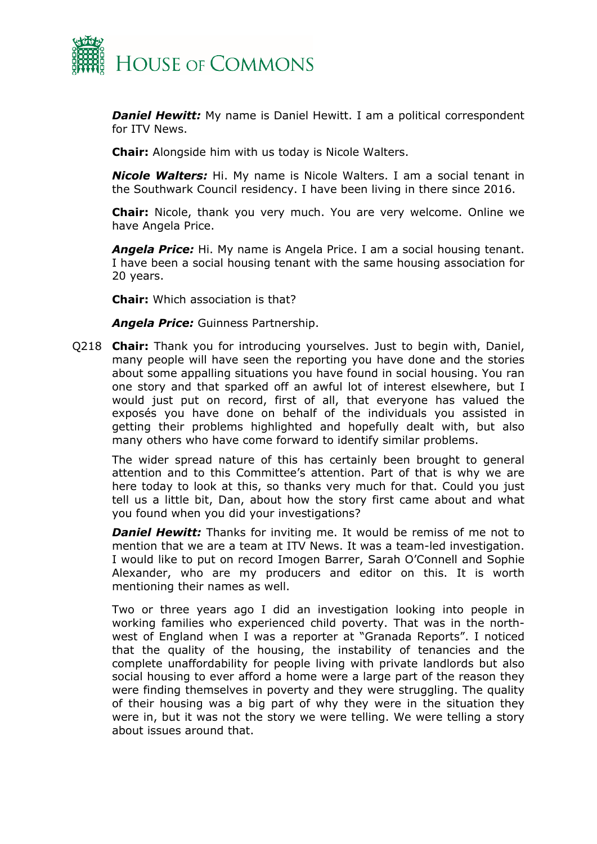

*Daniel Hewitt:* My name is Daniel Hewitt. I am a political correspondent for ITV News.

**Chair:** Alongside him with us today is Nicole Walters.

*Nicole Walters:* Hi. My name is Nicole Walters. I am a social tenant in the Southwark Council residency. I have been living in there since 2016.

**Chair:** Nicole, thank you very much. You are very welcome. Online we have Angela Price.

*Angela Price:* Hi. My name is Angela Price. I am a social housing tenant. I have been a social housing tenant with the same housing association for 20 years.

**Chair:** Which association is that?

*Angela Price:* Guinness Partnership.

Q218 **Chair:** Thank you for introducing yourselves. Just to begin with, Daniel, many people will have seen the reporting you have done and the stories about some appalling situations you have found in social housing. You ran one story and that sparked off an awful lot of interest elsewhere, but I would just put on record, first of all, that everyone has valued the exposés you have done on behalf of the individuals you assisted in getting their problems highlighted and hopefully dealt with, but also many others who have come forward to identify similar problems.

The wider spread nature of this has certainly been brought to general attention and to this Committee's attention. Part of that is why we are here today to look at this, so thanks very much for that. Could you just tell us a little bit, Dan, about how the story first came about and what you found when you did your investigations?

**Daniel Hewitt:** Thanks for inviting me. It would be remiss of me not to mention that we are a team at ITV News. It was a team-led investigation. I would like to put on record Imogen Barrer, Sarah O'Connell and Sophie Alexander, who are my producers and editor on this. It is worth mentioning their names as well.

Two or three years ago I did an investigation looking into people in working families who experienced child poverty. That was in the northwest of England when I was a reporter at "Granada Reports". I noticed that the quality of the housing, the instability of tenancies and the complete unaffordability for people living with private landlords but also social housing to ever afford a home were a large part of the reason they were finding themselves in poverty and they were struggling. The quality of their housing was a big part of why they were in the situation they were in, but it was not the story we were telling. We were telling a story about issues around that.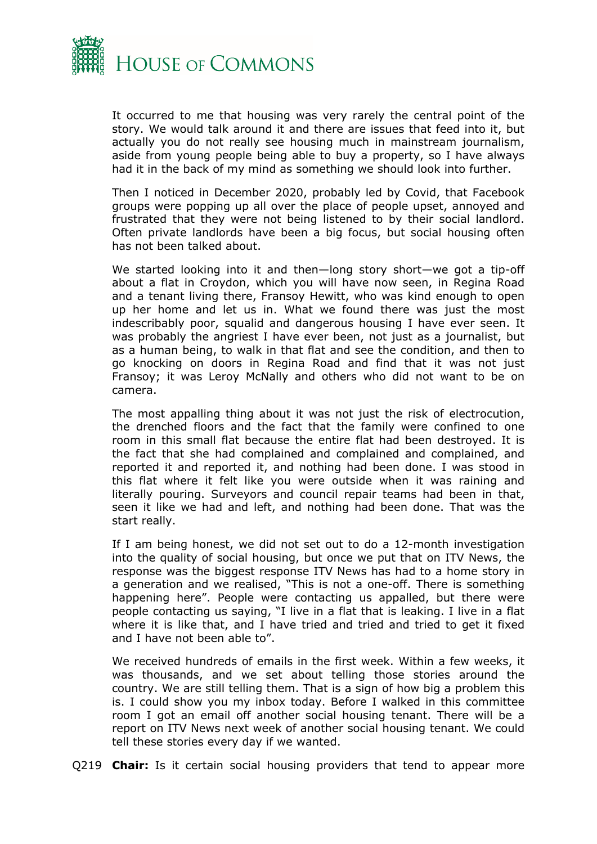

It occurred to me that housing was very rarely the central point of the story. We would talk around it and there are issues that feed into it, but actually you do not really see housing much in mainstream journalism, aside from young people being able to buy a property, so I have always had it in the back of my mind as something we should look into further.

Then I noticed in December 2020, probably led by Covid, that Facebook groups were popping up all over the place of people upset, annoyed and frustrated that they were not being listened to by their social landlord. Often private landlords have been a big focus, but social housing often has not been talked about.

We started looking into it and then—long story short—we got a tip-off about a flat in Croydon, which you will have now seen, in Regina Road and a tenant living there, Fransoy Hewitt, who was kind enough to open up her home and let us in. What we found there was just the most indescribably poor, squalid and dangerous housing I have ever seen. It was probably the angriest I have ever been, not just as a journalist, but as a human being, to walk in that flat and see the condition, and then to go knocking on doors in Regina Road and find that it was not just Fransoy; it was Leroy McNally and others who did not want to be on camera.

The most appalling thing about it was not just the risk of electrocution, the drenched floors and the fact that the family were confined to one room in this small flat because the entire flat had been destroyed. It is the fact that she had complained and complained and complained, and reported it and reported it, and nothing had been done. I was stood in this flat where it felt like you were outside when it was raining and literally pouring. Surveyors and council repair teams had been in that, seen it like we had and left, and nothing had been done. That was the start really.

If I am being honest, we did not set out to do a 12-month investigation into the quality of social housing, but once we put that on ITV News, the response was the biggest response ITV News has had to a home story in a generation and we realised, "This is not a one-off. There is something happening here". People were contacting us appalled, but there were people contacting us saying, "I live in a flat that is leaking. I live in a flat where it is like that, and I have tried and tried and tried to get it fixed and I have not been able to".

We received hundreds of emails in the first week. Within a few weeks, it was thousands, and we set about telling those stories around the country. We are still telling them. That is a sign of how big a problem this is. I could show you my inbox today. Before I walked in this committee room I got an email off another social housing tenant. There will be a report on ITV News next week of another social housing tenant. We could tell these stories every day if we wanted.

Q219 **Chair:** Is it certain social housing providers that tend to appear more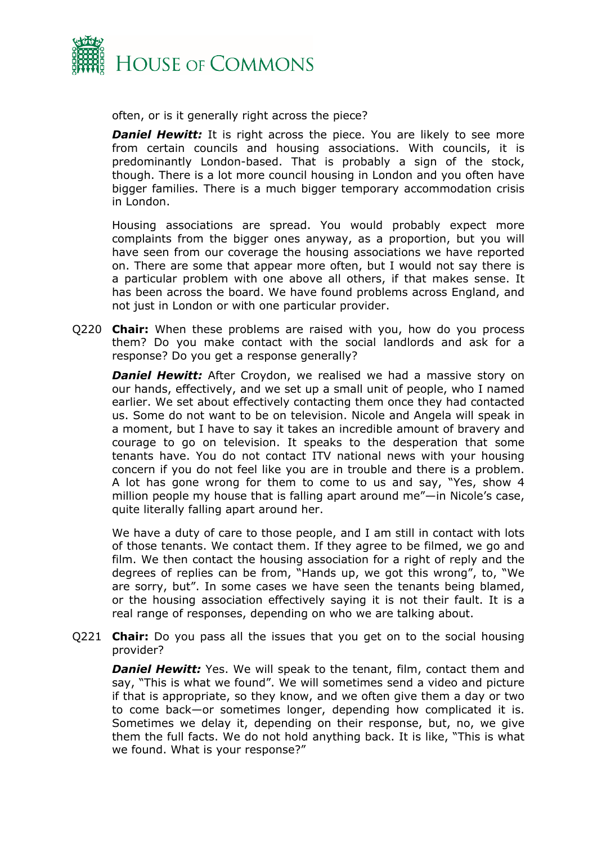

often, or is it generally right across the piece?

**Daniel Hewitt:** It is right across the piece. You are likely to see more from certain councils and housing associations. With councils, it is predominantly London-based. That is probably a sign of the stock, though. There is a lot more council housing in London and you often have bigger families. There is a much bigger temporary accommodation crisis in London.

Housing associations are spread. You would probably expect more complaints from the bigger ones anyway, as a proportion, but you will have seen from our coverage the housing associations we have reported on. There are some that appear more often, but I would not say there is a particular problem with one above all others, if that makes sense. It has been across the board. We have found problems across England, and not just in London or with one particular provider.

Q220 **Chair:** When these problems are raised with you, how do you process them? Do you make contact with the social landlords and ask for a response? Do you get a response generally?

**Daniel Hewitt:** After Croydon, we realised we had a massive story on our hands, effectively, and we set up a small unit of people, who I named earlier. We set about effectively contacting them once they had contacted us. Some do not want to be on television. Nicole and Angela will speak in a moment, but I have to say it takes an incredible amount of bravery and courage to go on television. It speaks to the desperation that some tenants have. You do not contact ITV national news with your housing concern if you do not feel like you are in trouble and there is a problem. A lot has gone wrong for them to come to us and say, "Yes, show 4 million people my house that is falling apart around me"—in Nicole's case, quite literally falling apart around her.

We have a duty of care to those people, and I am still in contact with lots of those tenants. We contact them. If they agree to be filmed, we go and film. We then contact the housing association for a right of reply and the degrees of replies can be from, "Hands up, we got this wrong", to, "We are sorry, but". In some cases we have seen the tenants being blamed, or the housing association effectively saying it is not their fault. It is a real range of responses, depending on who we are talking about.

Q221 **Chair:** Do you pass all the issues that you get on to the social housing provider?

*Daniel Hewitt:* Yes. We will speak to the tenant, film, contact them and say, "This is what we found". We will sometimes send a video and picture if that is appropriate, so they know, and we often give them a day or two to come back—or sometimes longer, depending how complicated it is. Sometimes we delay it, depending on their response, but, no, we give them the full facts. We do not hold anything back. It is like, "This is what we found. What is your response?"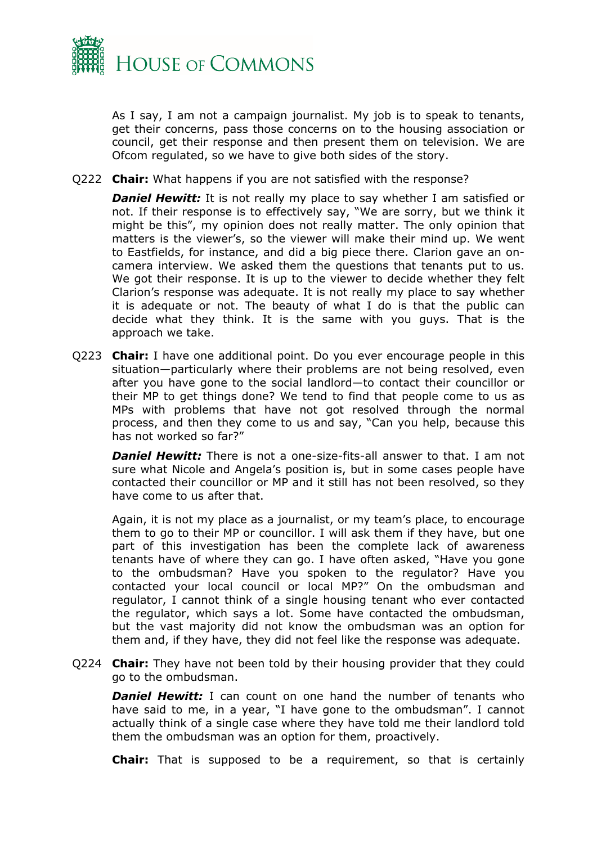

As I say, I am not a campaign journalist. My job is to speak to tenants, get their concerns, pass those concerns on to the housing association or council, get their response and then present them on television. We are Ofcom regulated, so we have to give both sides of the story.

Q222 **Chair:** What happens if you are not satisfied with the response?

**Daniel Hewitt:** It is not really my place to say whether I am satisfied or not. If their response is to effectively say, "We are sorry, but we think it might be this", my opinion does not really matter. The only opinion that matters is the viewer's, so the viewer will make their mind up. We went to Eastfields, for instance, and did a big piece there. Clarion gave an oncamera interview. We asked them the questions that tenants put to us. We got their response. It is up to the viewer to decide whether they felt Clarion's response was adequate. It is not really my place to say whether it is adequate or not. The beauty of what I do is that the public can decide what they think. It is the same with you guys. That is the approach we take.

Q223 **Chair:** I have one additional point. Do you ever encourage people in this situation—particularly where their problems are not being resolved, even after you have gone to the social landlord—to contact their councillor or their MP to get things done? We tend to find that people come to us as MPs with problems that have not got resolved through the normal process, and then they come to us and say, "Can you help, because this has not worked so far?"

*Daniel Hewitt:* There is not a one-size-fits-all answer to that. I am not sure what Nicole and Angela's position is, but in some cases people have contacted their councillor or MP and it still has not been resolved, so they have come to us after that.

Again, it is not my place as a journalist, or my team's place, to encourage them to go to their MP or councillor. I will ask them if they have, but one part of this investigation has been the complete lack of awareness tenants have of where they can go. I have often asked, "Have you gone to the ombudsman? Have you spoken to the regulator? Have you contacted your local council or local MP?" On the ombudsman and regulator, I cannot think of a single housing tenant who ever contacted the regulator, which says a lot. Some have contacted the ombudsman, but the vast majority did not know the ombudsman was an option for them and, if they have, they did not feel like the response was adequate.

Q224 **Chair:** They have not been told by their housing provider that they could go to the ombudsman.

**Daniel Hewitt:** I can count on one hand the number of tenants who have said to me, in a year, "I have gone to the ombudsman". I cannot actually think of a single case where they have told me their landlord told them the ombudsman was an option for them, proactively.

**Chair:** That is supposed to be a requirement, so that is certainly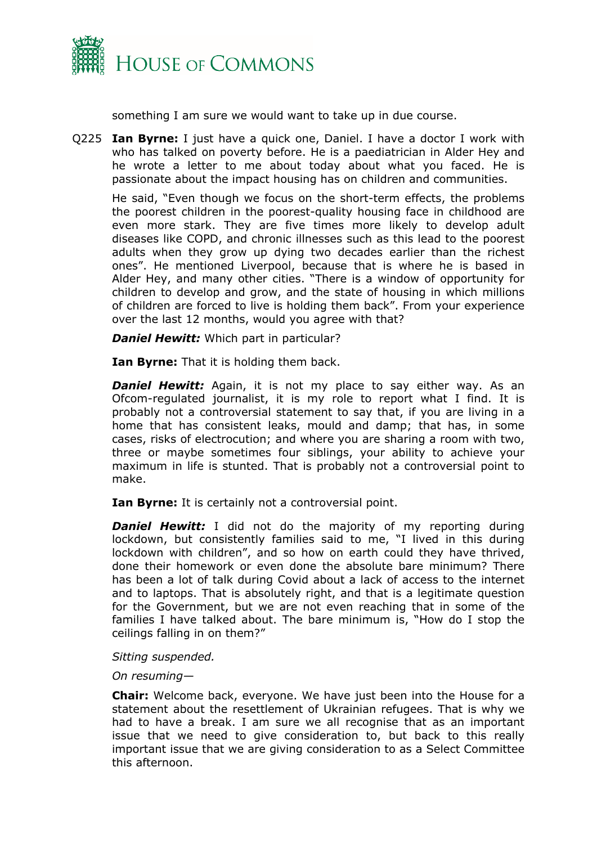

something I am sure we would want to take up in due course.

Q225 **Ian Byrne:** I just have a quick one, Daniel. I have a doctor I work with who has talked on poverty before. He is a paediatrician in Alder Hey and he wrote a letter to me about today about what you faced. He is passionate about the impact housing has on children and communities.

He said, "Even though we focus on the short-term effects, the problems the poorest children in the poorest-quality housing face in childhood are even more stark. They are five times more likely to develop adult diseases like COPD, and chronic illnesses such as this lead to the poorest adults when they grow up dying two decades earlier than the richest ones". He mentioned Liverpool, because that is where he is based in Alder Hey, and many other cities. "There is a window of opportunity for children to develop and grow, and the state of housing in which millions of children are forced to live is holding them back". From your experience over the last 12 months, would you agree with that?

*Daniel Hewitt:* Which part in particular?

**Ian Byrne:** That it is holding them back.

**Daniel Hewitt:** Again, it is not my place to say either way. As an Ofcom-regulated journalist, it is my role to report what I find. It is probably not a controversial statement to say that, if you are living in a home that has consistent leaks, mould and damp; that has, in some cases, risks of electrocution; and where you are sharing a room with two, three or maybe sometimes four siblings, your ability to achieve your maximum in life is stunted. That is probably not a controversial point to make.

**Ian Byrne:** It is certainly not a controversial point.

**Daniel Hewitt:** I did not do the majority of my reporting during lockdown, but consistently families said to me, "I lived in this during lockdown with children", and so how on earth could they have thrived, done their homework or even done the absolute bare minimum? There has been a lot of talk during Covid about a lack of access to the internet and to laptops. That is absolutely right, and that is a legitimate question for the Government, but we are not even reaching that in some of the families I have talked about. The bare minimum is, "How do I stop the ceilings falling in on them?"

#### *Sitting suspended.*

#### *On resuming—*

**Chair:** Welcome back, everyone. We have just been into the House for a statement about the resettlement of Ukrainian refugees. That is why we had to have a break. I am sure we all recognise that as an important issue that we need to give consideration to, but back to this really important issue that we are giving consideration to as a Select Committee this afternoon.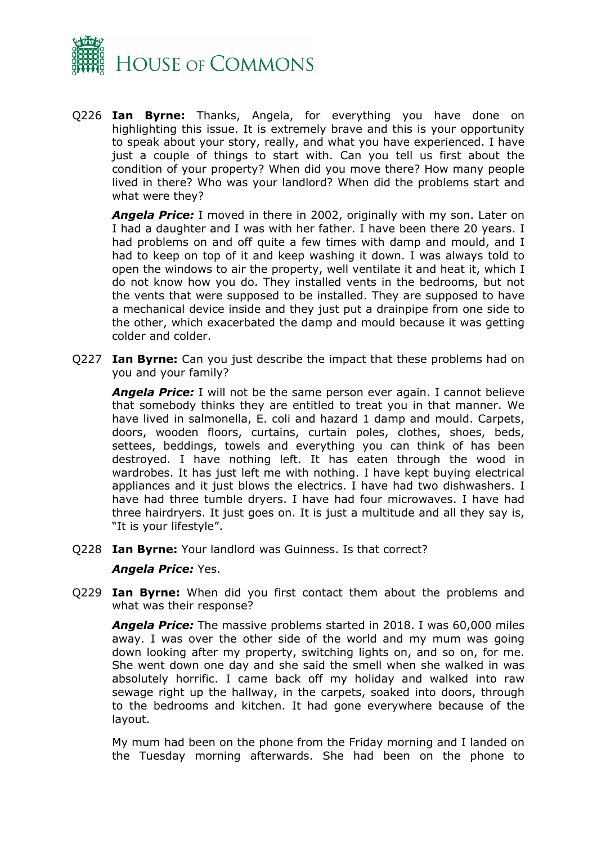

Q226 **Ian Byrne:** Thanks, Angela, for everything you have done on highlighting this issue. It is extremely brave and this is your opportunity to speak about your story, really, and what you have experienced. I have just a couple of things to start with. Can you tell us first about the condition of your property? When did you move there? How many people lived in there? Who was your landlord? When did the problems start and what were they?

*Angela Price:* I moved in there in 2002, originally with my son. Later on I had a daughter and I was with her father. I have been there 20 years. I had problems on and off quite a few times with damp and mould, and I had to keep on top of it and keep washing it down. I was always told to open the windows to air the property, well ventilate it and heat it, which I do not know how you do. They installed vents in the bedrooms, but not the vents that were supposed to be installed. They are supposed to have a mechanical device inside and they just put a drainpipe from one side to the other, which exacerbated the damp and mould because it was getting colder and colder.

Q227 **Ian Byrne:** Can you just describe the impact that these problems had on you and your family?

*Angela Price:* I will not be the same person ever again. I cannot believe that somebody thinks they are entitled to treat you in that manner. We have lived in salmonella, E. coli and hazard 1 damp and mould. Carpets, doors, wooden floors, curtains, curtain poles, clothes, shoes, beds, settees, beddings, towels and everything you can think of has been destroyed. I have nothing left. It has eaten through the wood in wardrobes. It has just left me with nothing. I have kept buying electrical appliances and it just blows the electrics. I have had two dishwashers. I have had three tumble dryers. I have had four microwaves. I have had three hairdryers. It just goes on. It is just a multitude and all they say is, "It is your lifestyle".

Q228 **Ian Byrne:** Your landlord was Guinness. Is that correct?

#### *Angela Price:* Yes.

Q229 **Ian Byrne:** When did you first contact them about the problems and what was their response?

*Angela Price:* The massive problems started in 2018. I was 60,000 miles away. I was over the other side of the world and my mum was going down looking after my property, switching lights on, and so on, for me. She went down one day and she said the smell when she walked in was absolutely horrific. I came back off my holiday and walked into raw sewage right up the hallway, in the carpets, soaked into doors, through to the bedrooms and kitchen. It had gone everywhere because of the layout.

My mum had been on the phone from the Friday morning and I landed on the Tuesday morning afterwards. She had been on the phone to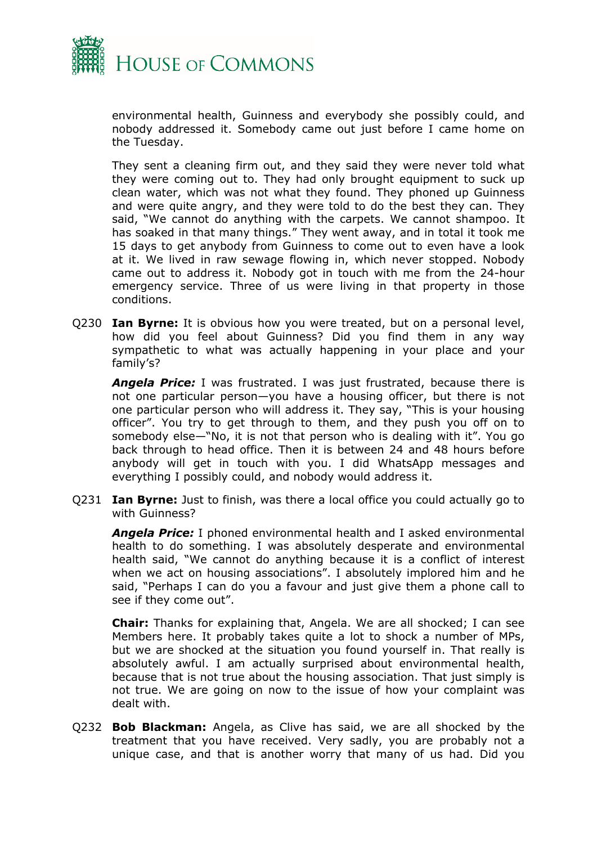

environmental health, Guinness and everybody she possibly could, and nobody addressed it. Somebody came out just before I came home on the Tuesday.

They sent a cleaning firm out, and they said they were never told what they were coming out to. They had only brought equipment to suck up clean water, which was not what they found. They phoned up Guinness and were quite angry, and they were told to do the best they can. They said, "We cannot do anything with the carpets. We cannot shampoo. It has soaked in that many things." They went away, and in total it took me 15 days to get anybody from Guinness to come out to even have a look at it. We lived in raw sewage flowing in, which never stopped. Nobody came out to address it. Nobody got in touch with me from the 24-hour emergency service. Three of us were living in that property in those conditions.

Q230 **Ian Byrne:** It is obvious how you were treated, but on a personal level, how did you feel about Guinness? Did you find them in any way sympathetic to what was actually happening in your place and your family's?

*Angela Price:* I was frustrated. I was just frustrated, because there is not one particular person—you have a housing officer, but there is not one particular person who will address it. They say, "This is your housing officer". You try to get through to them, and they push you off on to somebody else—"No, it is not that person who is dealing with it". You go back through to head office. Then it is between 24 and 48 hours before anybody will get in touch with you. I did WhatsApp messages and everything I possibly could, and nobody would address it.

Q231 **Ian Byrne:** Just to finish, was there a local office you could actually go to with Guinness?

*Angela Price:* I phoned environmental health and I asked environmental health to do something. I was absolutely desperate and environmental health said, "We cannot do anything because it is a conflict of interest when we act on housing associations". I absolutely implored him and he said, "Perhaps I can do you a favour and just give them a phone call to see if they come out".

**Chair:** Thanks for explaining that, Angela. We are all shocked; I can see Members here. It probably takes quite a lot to shock a number of MPs, but we are shocked at the situation you found yourself in. That really is absolutely awful. I am actually surprised about environmental health, because that is not true about the housing association. That just simply is not true. We are going on now to the issue of how your complaint was dealt with.

Q232 **Bob Blackman:** Angela, as Clive has said, we are all shocked by the treatment that you have received. Very sadly, you are probably not a unique case, and that is another worry that many of us had. Did you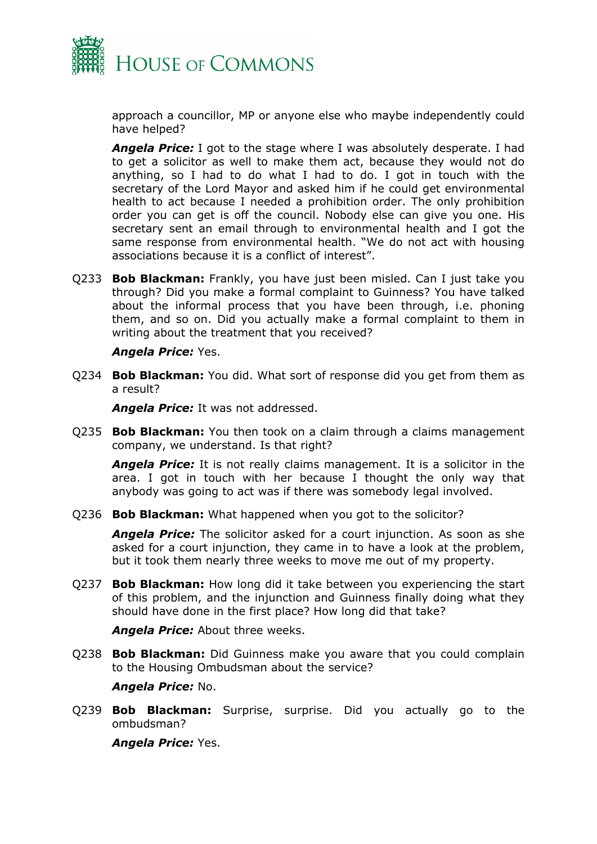

approach a councillor, MP or anyone else who maybe independently could have helped?

*Angela Price:* I got to the stage where I was absolutely desperate. I had to get a solicitor as well to make them act, because they would not do anything, so I had to do what I had to do. I got in touch with the secretary of the Lord Mayor and asked him if he could get environmental health to act because I needed a prohibition order. The only prohibition order you can get is off the council. Nobody else can give you one. His secretary sent an email through to environmental health and I got the same response from environmental health. "We do not act with housing associations because it is a conflict of interest".

Q233 **Bob Blackman:** Frankly, you have just been misled. Can I just take you through? Did you make a formal complaint to Guinness? You have talked about the informal process that you have been through, i.e. phoning them, and so on. Did you actually make a formal complaint to them in writing about the treatment that you received?

#### *Angela Price:* Yes.

Q234 **Bob Blackman:** You did. What sort of response did you get from them as a result?

*Angela Price:* It was not addressed.

Q235 **Bob Blackman:** You then took on a claim through a claims management company, we understand. Is that right?

*Angela Price:* It is not really claims management. It is a solicitor in the area. I got in touch with her because I thought the only way that anybody was going to act was if there was somebody legal involved.

Q236 **Bob Blackman:** What happened when you got to the solicitor?

*Angela Price:* The solicitor asked for a court injunction. As soon as she asked for a court injunction, they came in to have a look at the problem, but it took them nearly three weeks to move me out of my property.

Q237 **Bob Blackman:** How long did it take between you experiencing the start of this problem, and the injunction and Guinness finally doing what they should have done in the first place? How long did that take?

*Angela Price:* About three weeks.

Q238 **Bob Blackman:** Did Guinness make you aware that you could complain to the Housing Ombudsman about the service?

*Angela Price:* No.

Q239 **Bob Blackman:** Surprise, surprise. Did you actually go to the ombudsman?

*Angela Price:* Yes.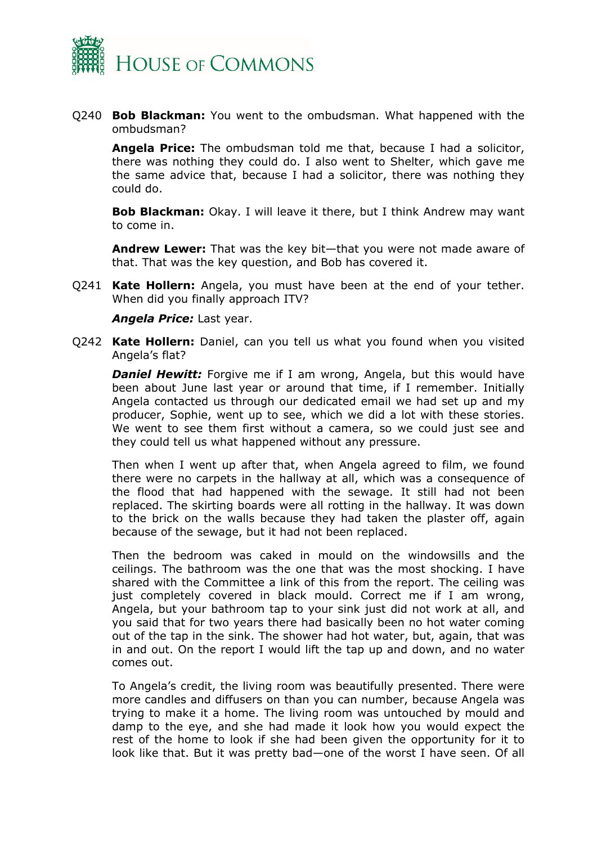

Q240 **Bob Blackman:** You went to the ombudsman. What happened with the ombudsman?

**Angela Price:** The ombudsman told me that, because I had a solicitor, there was nothing they could do. I also went to Shelter, which gave me the same advice that, because I had a solicitor, there was nothing they could do.

**Bob Blackman:** Okay. I will leave it there, but I think Andrew may want to come in.

**Andrew Lewer:** That was the key bit—that you were not made aware of that. That was the key question, and Bob has covered it.

Q241 **Kate Hollern:** Angela, you must have been at the end of your tether. When did you finally approach ITV?

*Angela Price:* Last year.

Q242 **Kate Hollern:** Daniel, can you tell us what you found when you visited Angela's flat?

**Daniel Hewitt:** Forgive me if I am wrong, Angela, but this would have been about June last year or around that time, if I remember. Initially Angela contacted us through our dedicated email we had set up and my producer, Sophie, went up to see, which we did a lot with these stories. We went to see them first without a camera, so we could just see and they could tell us what happened without any pressure.

Then when I went up after that, when Angela agreed to film, we found there were no carpets in the hallway at all, which was a consequence of the flood that had happened with the sewage. It still had not been replaced. The skirting boards were all rotting in the hallway. It was down to the brick on the walls because they had taken the plaster off, again because of the sewage, but it had not been replaced.

Then the bedroom was caked in mould on the windowsills and the ceilings. The bathroom was the one that was the most shocking. I have shared with the Committee a link of this from the report. The ceiling was just completely covered in black mould. Correct me if I am wrong, Angela, but your bathroom tap to your sink just did not work at all, and you said that for two years there had basically been no hot water coming out of the tap in the sink. The shower had hot water, but, again, that was in and out. On the report I would lift the tap up and down, and no water comes out.

To Angela's credit, the living room was beautifully presented. There were more candles and diffusers on than you can number, because Angela was trying to make it a home. The living room was untouched by mould and damp to the eye, and she had made it look how you would expect the rest of the home to look if she had been given the opportunity for it to look like that. But it was pretty bad—one of the worst I have seen. Of all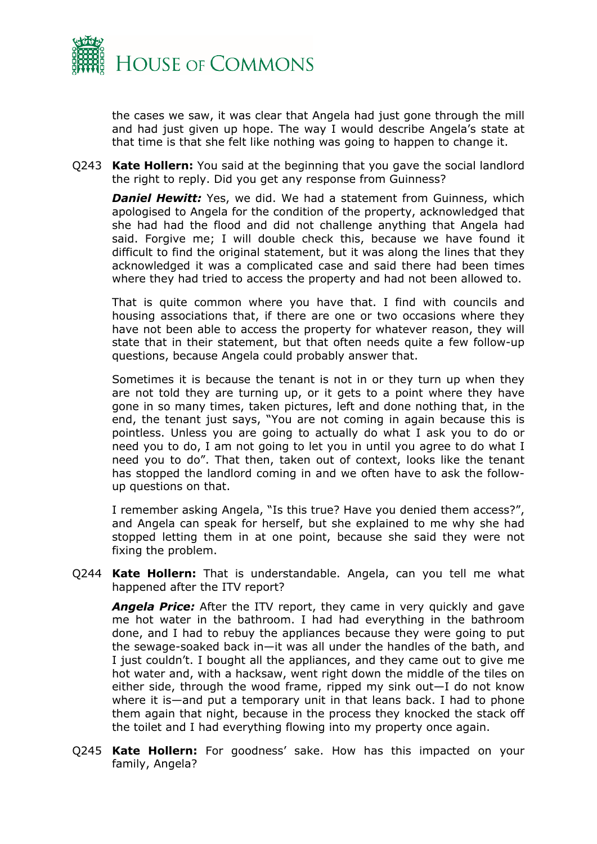

the cases we saw, it was clear that Angela had just gone through the mill and had just given up hope. The way I would describe Angela's state at that time is that she felt like nothing was going to happen to change it.

Q243 **Kate Hollern:** You said at the beginning that you gave the social landlord the right to reply. Did you get any response from Guinness?

**Daniel Hewitt:** Yes, we did. We had a statement from Guinness, which apologised to Angela for the condition of the property, acknowledged that she had had the flood and did not challenge anything that Angela had said. Forgive me; I will double check this, because we have found it difficult to find the original statement, but it was along the lines that they acknowledged it was a complicated case and said there had been times where they had tried to access the property and had not been allowed to.

That is quite common where you have that. I find with councils and housing associations that, if there are one or two occasions where they have not been able to access the property for whatever reason, they will state that in their statement, but that often needs quite a few follow-up questions, because Angela could probably answer that.

Sometimes it is because the tenant is not in or they turn up when they are not told they are turning up, or it gets to a point where they have gone in so many times, taken pictures, left and done nothing that, in the end, the tenant just says, "You are not coming in again because this is pointless. Unless you are going to actually do what I ask you to do or need you to do, I am not going to let you in until you agree to do what I need you to do". That then, taken out of context, looks like the tenant has stopped the landlord coming in and we often have to ask the followup questions on that.

I remember asking Angela, "Is this true? Have you denied them access?", and Angela can speak for herself, but she explained to me why she had stopped letting them in at one point, because she said they were not fixing the problem.

Q244 **Kate Hollern:** That is understandable. Angela, can you tell me what happened after the ITV report?

*Angela Price:* After the ITV report, they came in very quickly and gave me hot water in the bathroom. I had had everything in the bathroom done, and I had to rebuy the appliances because they were going to put the sewage-soaked back in—it was all under the handles of the bath, and I just couldn't. I bought all the appliances, and they came out to give me hot water and, with a hacksaw, went right down the middle of the tiles on either side, through the wood frame, ripped my sink out—I do not know where it is—and put a temporary unit in that leans back. I had to phone them again that night, because in the process they knocked the stack off the toilet and I had everything flowing into my property once again.

Q245 **Kate Hollern:** For goodness' sake. How has this impacted on your family, Angela?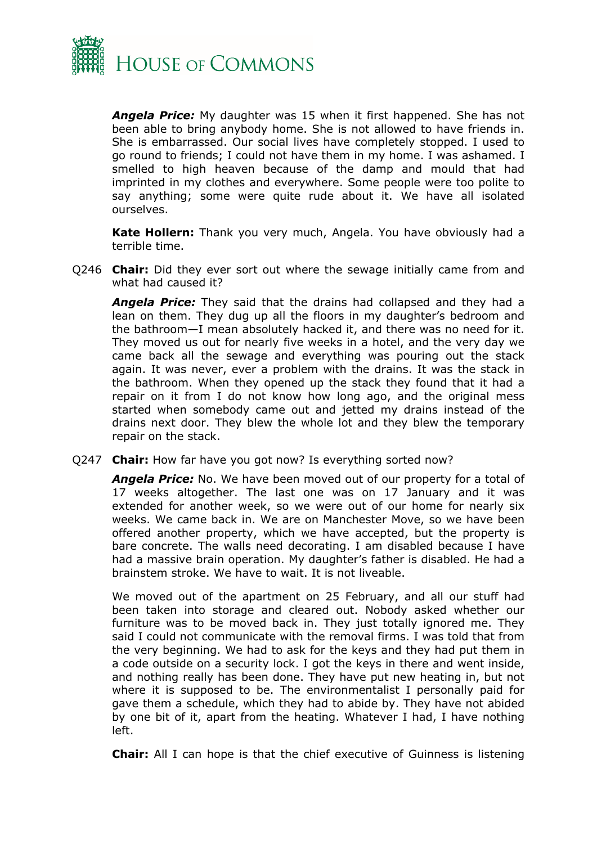

*Angela Price:* My daughter was 15 when it first happened. She has not been able to bring anybody home. She is not allowed to have friends in. She is embarrassed. Our social lives have completely stopped. I used to go round to friends; I could not have them in my home. I was ashamed. I smelled to high heaven because of the damp and mould that had imprinted in my clothes and everywhere. Some people were too polite to say anything; some were quite rude about it. We have all isolated ourselves.

**Kate Hollern:** Thank you very much, Angela. You have obviously had a terrible time.

Q246 **Chair:** Did they ever sort out where the sewage initially came from and what had caused it?

*Angela Price:* They said that the drains had collapsed and they had a lean on them. They dug up all the floors in my daughter's bedroom and the bathroom—I mean absolutely hacked it, and there was no need for it. They moved us out for nearly five weeks in a hotel, and the very day we came back all the sewage and everything was pouring out the stack again. It was never, ever a problem with the drains. It was the stack in the bathroom. When they opened up the stack they found that it had a repair on it from I do not know how long ago, and the original mess started when somebody came out and jetted my drains instead of the drains next door. They blew the whole lot and they blew the temporary repair on the stack.

Q247 **Chair:** How far have you got now? Is everything sorted now?

*Angela Price:* No. We have been moved out of our property for a total of 17 weeks altogether. The last one was on 17 January and it was extended for another week, so we were out of our home for nearly six weeks. We came back in. We are on Manchester Move, so we have been offered another property, which we have accepted, but the property is bare concrete. The walls need decorating. I am disabled because I have had a massive brain operation. My daughter's father is disabled. He had a brainstem stroke. We have to wait. It is not liveable.

We moved out of the apartment on 25 February, and all our stuff had been taken into storage and cleared out. Nobody asked whether our furniture was to be moved back in. They just totally ignored me. They said I could not communicate with the removal firms. I was told that from the very beginning. We had to ask for the keys and they had put them in a code outside on a security lock. I got the keys in there and went inside, and nothing really has been done. They have put new heating in, but not where it is supposed to be. The environmentalist I personally paid for gave them a schedule, which they had to abide by. They have not abided by one bit of it, apart from the heating. Whatever I had, I have nothing left.

**Chair:** All I can hope is that the chief executive of Guinness is listening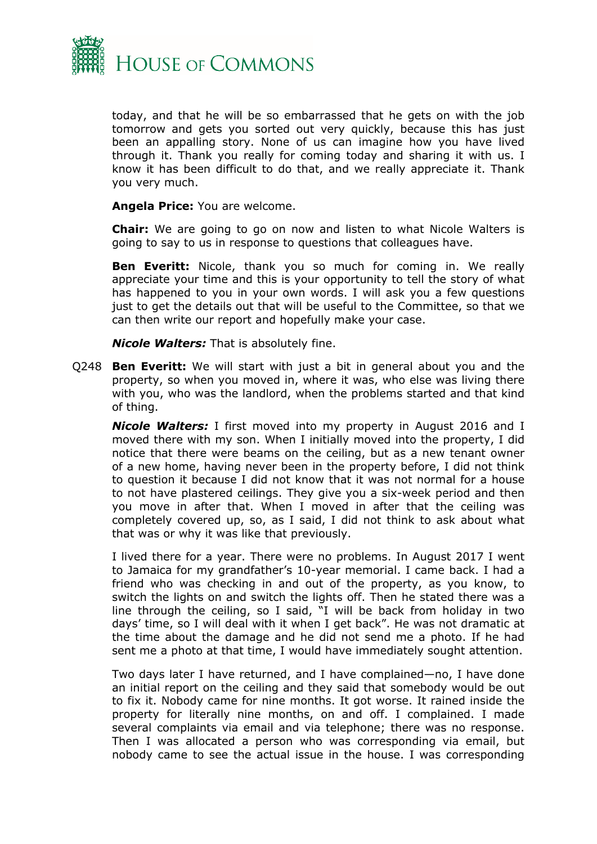

today, and that he will be so embarrassed that he gets on with the job tomorrow and gets you sorted out very quickly, because this has just been an appalling story. None of us can imagine how you have lived through it. Thank you really for coming today and sharing it with us. I know it has been difficult to do that, and we really appreciate it. Thank you very much.

**Angela Price:** You are welcome.

**Chair:** We are going to go on now and listen to what Nicole Walters is going to say to us in response to questions that colleagues have.

**Ben Everitt:** Nicole, thank you so much for coming in. We really appreciate your time and this is your opportunity to tell the story of what has happened to you in your own words. I will ask you a few questions just to get the details out that will be useful to the Committee, so that we can then write our report and hopefully make your case.

*Nicole Walters:* That is absolutely fine.

Q248 **Ben Everitt:** We will start with just a bit in general about you and the property, so when you moved in, where it was, who else was living there with you, who was the landlord, when the problems started and that kind of thing.

*Nicole Walters:* I first moved into my property in August 2016 and I moved there with my son. When I initially moved into the property, I did notice that there were beams on the ceiling, but as a new tenant owner of a new home, having never been in the property before, I did not think to question it because I did not know that it was not normal for a house to not have plastered ceilings. They give you a six-week period and then you move in after that. When I moved in after that the ceiling was completely covered up, so, as I said, I did not think to ask about what that was or why it was like that previously.

I lived there for a year. There were no problems. In August 2017 I went to Jamaica for my grandfather's 10-year memorial. I came back. I had a friend who was checking in and out of the property, as you know, to switch the lights on and switch the lights off. Then he stated there was a line through the ceiling, so I said, "I will be back from holiday in two days' time, so I will deal with it when I get back". He was not dramatic at the time about the damage and he did not send me a photo. If he had sent me a photo at that time, I would have immediately sought attention.

Two days later I have returned, and I have complained—no, I have done an initial report on the ceiling and they said that somebody would be out to fix it. Nobody came for nine months. It got worse. It rained inside the property for literally nine months, on and off. I complained. I made several complaints via email and via telephone; there was no response. Then I was allocated a person who was corresponding via email, but nobody came to see the actual issue in the house. I was corresponding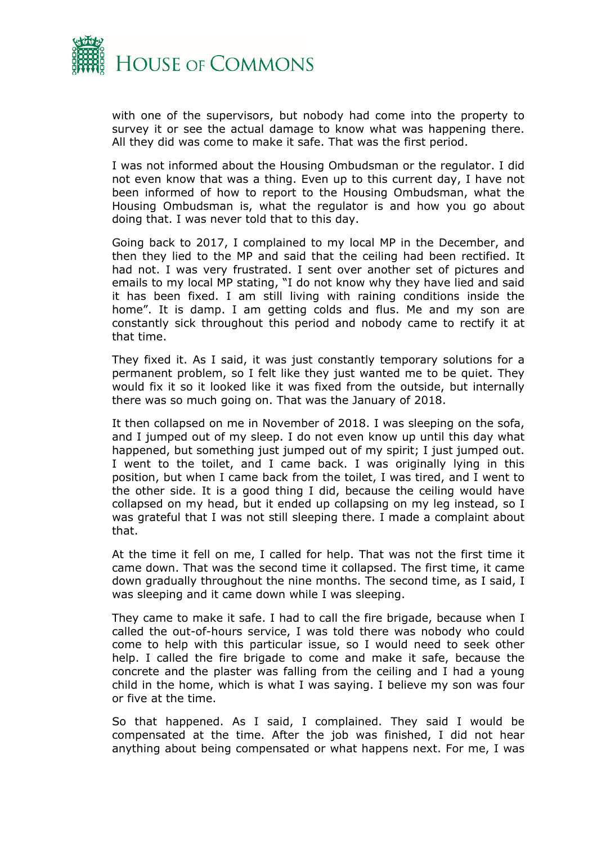

with one of the supervisors, but nobody had come into the property to survey it or see the actual damage to know what was happening there. All they did was come to make it safe. That was the first period.

I was not informed about the Housing Ombudsman or the regulator. I did not even know that was a thing. Even up to this current day, I have not been informed of how to report to the Housing Ombudsman, what the Housing Ombudsman is, what the regulator is and how you go about doing that. I was never told that to this day.

Going back to 2017, I complained to my local MP in the December, and then they lied to the MP and said that the ceiling had been rectified. It had not. I was very frustrated. I sent over another set of pictures and emails to my local MP stating, "I do not know why they have lied and said it has been fixed. I am still living with raining conditions inside the home". It is damp. I am getting colds and flus. Me and my son are constantly sick throughout this period and nobody came to rectify it at that time.

They fixed it. As I said, it was just constantly temporary solutions for a permanent problem, so I felt like they just wanted me to be quiet. They would fix it so it looked like it was fixed from the outside, but internally there was so much going on. That was the January of 2018.

It then collapsed on me in November of 2018. I was sleeping on the sofa, and I jumped out of my sleep. I do not even know up until this day what happened, but something just jumped out of my spirit; I just jumped out. I went to the toilet, and I came back. I was originally lying in this position, but when I came back from the toilet, I was tired, and I went to the other side. It is a good thing I did, because the ceiling would have collapsed on my head, but it ended up collapsing on my leg instead, so I was grateful that I was not still sleeping there. I made a complaint about that.

At the time it fell on me, I called for help. That was not the first time it came down. That was the second time it collapsed. The first time, it came down gradually throughout the nine months. The second time, as I said, I was sleeping and it came down while I was sleeping.

They came to make it safe. I had to call the fire brigade, because when I called the out-of-hours service, I was told there was nobody who could come to help with this particular issue, so I would need to seek other help. I called the fire brigade to come and make it safe, because the concrete and the plaster was falling from the ceiling and I had a young child in the home, which is what I was saying. I believe my son was four or five at the time.

So that happened. As I said, I complained. They said I would be compensated at the time. After the job was finished, I did not hear anything about being compensated or what happens next. For me, I was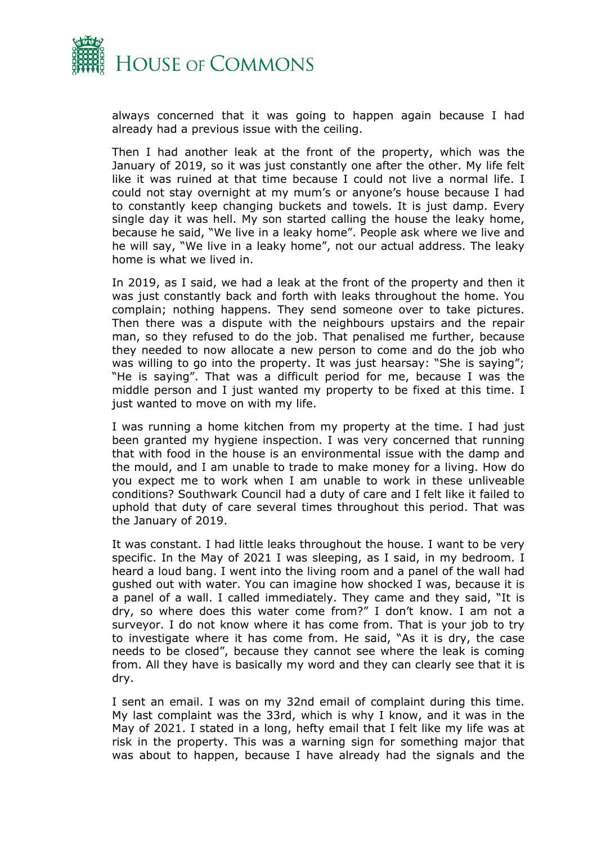

always concerned that it was going to happen again because I had already had a previous issue with the ceiling.

Then I had another leak at the front of the property, which was the January of 2019, so it was just constantly one after the other. My life felt like it was ruined at that time because I could not live a normal life. I could not stay overnight at my mum's or anyone's house because I had to constantly keep changing buckets and towels. It is just damp. Every single day it was hell. My son started calling the house the leaky home, because he said, "We live in a leaky home". People ask where we live and he will say, "We live in a leaky home", not our actual address. The leaky home is what we lived in.

In 2019, as I said, we had a leak at the front of the property and then it was just constantly back and forth with leaks throughout the home. You complain; nothing happens. They send someone over to take pictures. Then there was a dispute with the neighbours upstairs and the repair man, so they refused to do the job. That penalised me further, because they needed to now allocate a new person to come and do the job who was willing to go into the property. It was just hearsay: "She is saying"; "He is saying". That was a difficult period for me, because I was the middle person and I just wanted my property to be fixed at this time. I just wanted to move on with my life.

I was running a home kitchen from my property at the time. I had just been granted my hygiene inspection. I was very concerned that running that with food in the house is an environmental issue with the damp and the mould, and I am unable to trade to make money for a living. How do you expect me to work when I am unable to work in these unliveable conditions? Southwark Council had a duty of care and I felt like it failed to uphold that duty of care several times throughout this period. That was the January of 2019.

It was constant. I had little leaks throughout the house. I want to be very specific. In the May of 2021 I was sleeping, as I said, in my bedroom. I heard a loud bang. I went into the living room and a panel of the wall had gushed out with water. You can imagine how shocked I was, because it is a panel of a wall. I called immediately. They came and they said, "It is dry, so where does this water come from?" I don't know. I am not a surveyor. I do not know where it has come from. That is your job to try to investigate where it has come from. He said, "As it is dry, the case needs to be closed", because they cannot see where the leak is coming from. All they have is basically my word and they can clearly see that it is dry.

I sent an email. I was on my 32nd email of complaint during this time. My last complaint was the 33rd, which is why I know, and it was in the May of 2021. I stated in a long, hefty email that I felt like my life was at risk in the property. This was a warning sign for something major that was about to happen, because I have already had the signals and the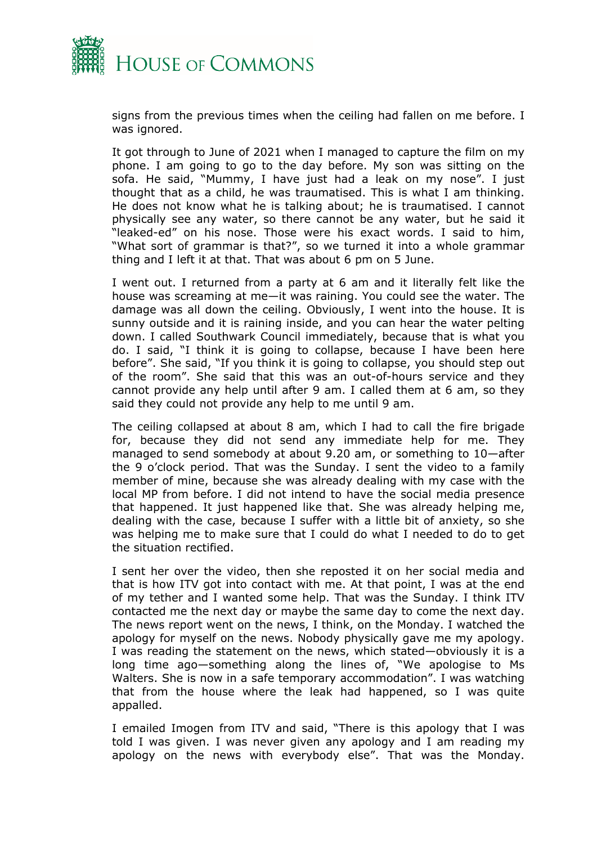

signs from the previous times when the ceiling had fallen on me before. I was ignored.

It got through to June of 2021 when I managed to capture the film on my phone. I am going to go to the day before. My son was sitting on the sofa. He said, "Mummy, I have just had a leak on my nose". I just thought that as a child, he was traumatised. This is what I am thinking. He does not know what he is talking about; he is traumatised. I cannot physically see any water, so there cannot be any water, but he said it "leaked-ed" on his nose. Those were his exact words. I said to him, "What sort of grammar is that?", so we turned it into a whole grammar thing and I left it at that. That was about 6 pm on 5 June.

I went out. I returned from a party at 6 am and it literally felt like the house was screaming at me—it was raining. You could see the water. The damage was all down the ceiling. Obviously, I went into the house. It is sunny outside and it is raining inside, and you can hear the water pelting down. I called Southwark Council immediately, because that is what you do. I said, "I think it is going to collapse, because I have been here before". She said, "If you think it is going to collapse, you should step out of the room". She said that this was an out-of-hours service and they cannot provide any help until after 9 am. I called them at 6 am, so they said they could not provide any help to me until 9 am.

The ceiling collapsed at about 8 am, which I had to call the fire brigade for, because they did not send any immediate help for me. They managed to send somebody at about 9.20 am, or something to 10—after the 9 o'clock period. That was the Sunday. I sent the video to a family member of mine, because she was already dealing with my case with the local MP from before. I did not intend to have the social media presence that happened. It just happened like that. She was already helping me, dealing with the case, because I suffer with a little bit of anxiety, so she was helping me to make sure that I could do what I needed to do to get the situation rectified.

I sent her over the video, then she reposted it on her social media and that is how ITV got into contact with me. At that point, I was at the end of my tether and I wanted some help. That was the Sunday. I think ITV contacted me the next day or maybe the same day to come the next day. The news report went on the news, I think, on the Monday. I watched the apology for myself on the news. Nobody physically gave me my apology. I was reading the statement on the news, which stated—obviously it is a long time ago—something along the lines of, "We apologise to Ms Walters. She is now in a safe temporary accommodation". I was watching that from the house where the leak had happened, so I was quite appalled.

I emailed Imogen from ITV and said, "There is this apology that I was told I was given. I was never given any apology and I am reading my apology on the news with everybody else". That was the Monday.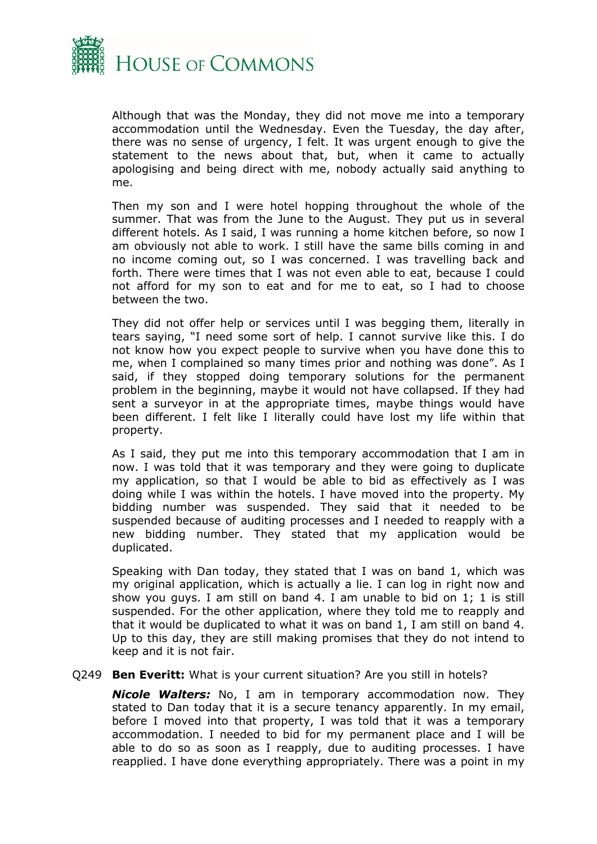

Although that was the Monday, they did not move me into a temporary accommodation until the Wednesday. Even the Tuesday, the day after, there was no sense of urgency, I felt. It was urgent enough to give the statement to the news about that, but, when it came to actually apologising and being direct with me, nobody actually said anything to me.

Then my son and I were hotel hopping throughout the whole of the summer. That was from the June to the August. They put us in several different hotels. As I said, I was running a home kitchen before, so now I am obviously not able to work. I still have the same bills coming in and no income coming out, so I was concerned. I was travelling back and forth. There were times that I was not even able to eat, because I could not afford for my son to eat and for me to eat, so I had to choose between the two.

They did not offer help or services until I was begging them, literally in tears saying, "I need some sort of help. I cannot survive like this. I do not know how you expect people to survive when you have done this to me, when I complained so many times prior and nothing was done". As I said, if they stopped doing temporary solutions for the permanent problem in the beginning, maybe it would not have collapsed. If they had sent a surveyor in at the appropriate times, maybe things would have been different. I felt like I literally could have lost my life within that property.

As I said, they put me into this temporary accommodation that I am in now. I was told that it was temporary and they were going to duplicate my application, so that I would be able to bid as effectively as I was doing while I was within the hotels. I have moved into the property. My bidding number was suspended. They said that it needed to be suspended because of auditing processes and I needed to reapply with a new bidding number. They stated that my application would be duplicated.

Speaking with Dan today, they stated that I was on band 1, which was my original application, which is actually a lie. I can log in right now and show you guys. I am still on band 4. I am unable to bid on 1; 1 is still suspended. For the other application, where they told me to reapply and that it would be duplicated to what it was on band 1, I am still on band 4. Up to this day, they are still making promises that they do not intend to keep and it is not fair.

#### Q249 **Ben Everitt:** What is your current situation? Are you still in hotels?

*Nicole Walters:* No, I am in temporary accommodation now. They stated to Dan today that it is a secure tenancy apparently. In my email, before I moved into that property, I was told that it was a temporary accommodation. I needed to bid for my permanent place and I will be able to do so as soon as I reapply, due to auditing processes. I have reapplied. I have done everything appropriately. There was a point in my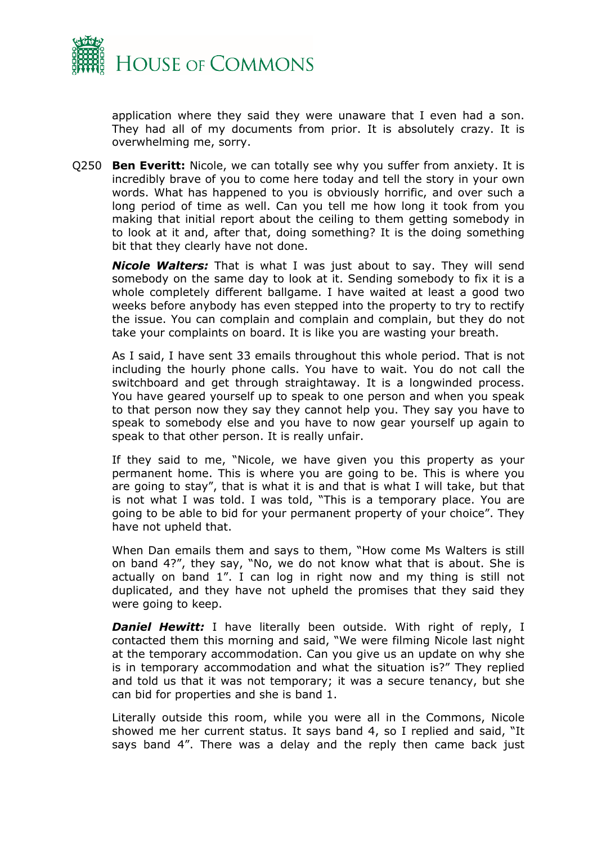

application where they said they were unaware that I even had a son. They had all of my documents from prior. It is absolutely crazy. It is overwhelming me, sorry.

Q250 **Ben Everitt:** Nicole, we can totally see why you suffer from anxiety. It is incredibly brave of you to come here today and tell the story in your own words. What has happened to you is obviously horrific, and over such a long period of time as well. Can you tell me how long it took from you making that initial report about the ceiling to them getting somebody in to look at it and, after that, doing something? It is the doing something bit that they clearly have not done.

*Nicole Walters:* That is what I was just about to say. They will send somebody on the same day to look at it. Sending somebody to fix it is a whole completely different ballgame. I have waited at least a good two weeks before anybody has even stepped into the property to try to rectify the issue. You can complain and complain and complain, but they do not take your complaints on board. It is like you are wasting your breath.

As I said, I have sent 33 emails throughout this whole period. That is not including the hourly phone calls. You have to wait. You do not call the switchboard and get through straightaway. It is a longwinded process. You have geared yourself up to speak to one person and when you speak to that person now they say they cannot help you. They say you have to speak to somebody else and you have to now gear yourself up again to speak to that other person. It is really unfair.

If they said to me, "Nicole, we have given you this property as your permanent home. This is where you are going to be. This is where you are going to stay", that is what it is and that is what I will take, but that is not what I was told. I was told, "This is a temporary place. You are going to be able to bid for your permanent property of your choice". They have not upheld that.

When Dan emails them and says to them, "How come Ms Walters is still on band 4?", they say, "No, we do not know what that is about. She is actually on band 1". I can log in right now and my thing is still not duplicated, and they have not upheld the promises that they said they were going to keep.

**Daniel Hewitt:** I have literally been outside. With right of reply, I contacted them this morning and said, "We were filming Nicole last night at the temporary accommodation. Can you give us an update on why she is in temporary accommodation and what the situation is?" They replied and told us that it was not temporary; it was a secure tenancy, but she can bid for properties and she is band 1.

Literally outside this room, while you were all in the Commons, Nicole showed me her current status. It says band 4, so I replied and said, "It says band 4". There was a delay and the reply then came back just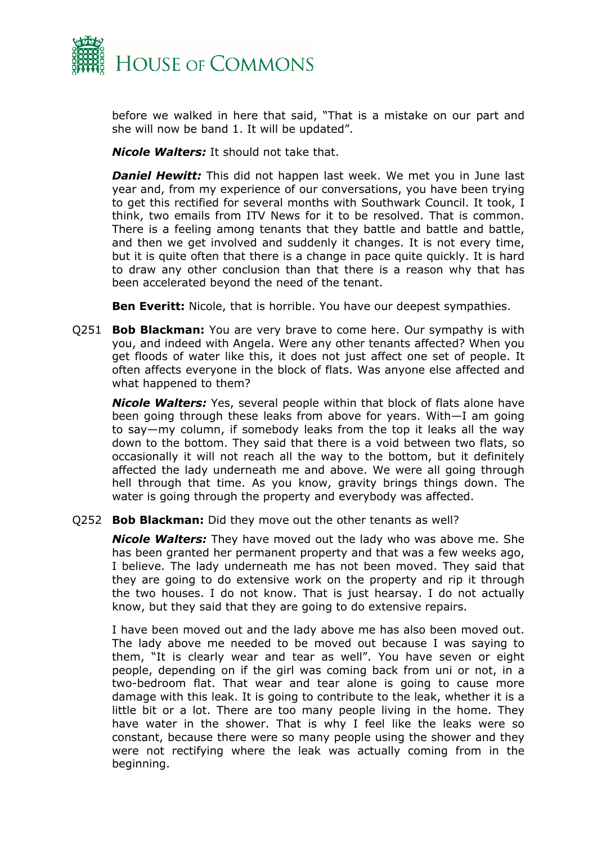

before we walked in here that said, "That is a mistake on our part and she will now be band 1. It will be updated".

*Nicole Walters:* It should not take that.

*Daniel Hewitt:* This did not happen last week. We met you in June last year and, from my experience of our conversations, you have been trying to get this rectified for several months with Southwark Council. It took, I think, two emails from ITV News for it to be resolved. That is common. There is a feeling among tenants that they battle and battle and battle, and then we get involved and suddenly it changes. It is not every time, but it is quite often that there is a change in pace quite quickly. It is hard to draw any other conclusion than that there is a reason why that has been accelerated beyond the need of the tenant.

**Ben Everitt:** Nicole, that is horrible. You have our deepest sympathies.

Q251 **Bob Blackman:** You are very brave to come here. Our sympathy is with you, and indeed with Angela. Were any other tenants affected? When you get floods of water like this, it does not just affect one set of people. It often affects everyone in the block of flats. Was anyone else affected and what happened to them?

*Nicole Walters:* Yes, several people within that block of flats alone have been going through these leaks from above for years. With—I am going to say—my column, if somebody leaks from the top it leaks all the way down to the bottom. They said that there is a void between two flats, so occasionally it will not reach all the way to the bottom, but it definitely affected the lady underneath me and above. We were all going through hell through that time. As you know, gravity brings things down. The water is going through the property and everybody was affected.

Q252 **Bob Blackman:** Did they move out the other tenants as well?

*Nicole Walters:* They have moved out the lady who was above me. She has been granted her permanent property and that was a few weeks ago, I believe. The lady underneath me has not been moved. They said that they are going to do extensive work on the property and rip it through the two houses. I do not know. That is just hearsay. I do not actually know, but they said that they are going to do extensive repairs.

I have been moved out and the lady above me has also been moved out. The lady above me needed to be moved out because I was saying to them, "It is clearly wear and tear as well". You have seven or eight people, depending on if the girl was coming back from uni or not, in a two-bedroom flat. That wear and tear alone is going to cause more damage with this leak. It is going to contribute to the leak, whether it is a little bit or a lot. There are too many people living in the home. They have water in the shower. That is why I feel like the leaks were so constant, because there were so many people using the shower and they were not rectifying where the leak was actually coming from in the beginning.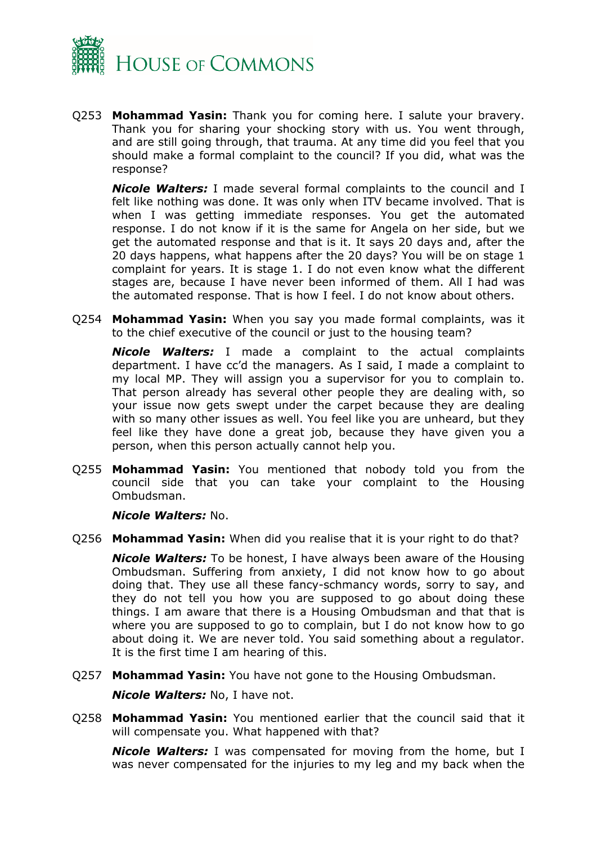

Q253 **Mohammad Yasin:** Thank you for coming here. I salute your bravery. Thank you for sharing your shocking story with us. You went through, and are still going through, that trauma. At any time did you feel that you should make a formal complaint to the council? If you did, what was the response?

*Nicole Walters:* I made several formal complaints to the council and I felt like nothing was done. It was only when ITV became involved. That is when I was getting immediate responses. You get the automated response. I do not know if it is the same for Angela on her side, but we get the automated response and that is it. It says 20 days and, after the 20 days happens, what happens after the 20 days? You will be on stage 1 complaint for years. It is stage 1. I do not even know what the different stages are, because I have never been informed of them. All I had was the automated response. That is how I feel. I do not know about others.

Q254 **Mohammad Yasin:** When you say you made formal complaints, was it to the chief executive of the council or just to the housing team?

*Nicole Walters:* I made a complaint to the actual complaints department. I have cc'd the managers. As I said, I made a complaint to my local MP. They will assign you a supervisor for you to complain to. That person already has several other people they are dealing with, so your issue now gets swept under the carpet because they are dealing with so many other issues as well. You feel like you are unheard, but they feel like they have done a great job, because they have given you a person, when this person actually cannot help you.

Q255 **Mohammad Yasin:** You mentioned that nobody told you from the council side that you can take your complaint to the Housing Ombudsman.

*Nicole Walters:* No.

Q256 **Mohammad Yasin:** When did you realise that it is your right to do that?

*Nicole Walters:* To be honest, I have always been aware of the Housing Ombudsman. Suffering from anxiety, I did not know how to go about doing that. They use all these fancy-schmancy words, sorry to say, and they do not tell you how you are supposed to go about doing these things. I am aware that there is a Housing Ombudsman and that that is where you are supposed to go to complain, but I do not know how to go about doing it. We are never told. You said something about a regulator. It is the first time I am hearing of this.

Q257 **Mohammad Yasin:** You have not gone to the Housing Ombudsman.

*Nicole Walters:* No, I have not.

Q258 **Mohammad Yasin:** You mentioned earlier that the council said that it will compensate you. What happened with that?

*Nicole Walters:* I was compensated for moving from the home, but I was never compensated for the injuries to my leg and my back when the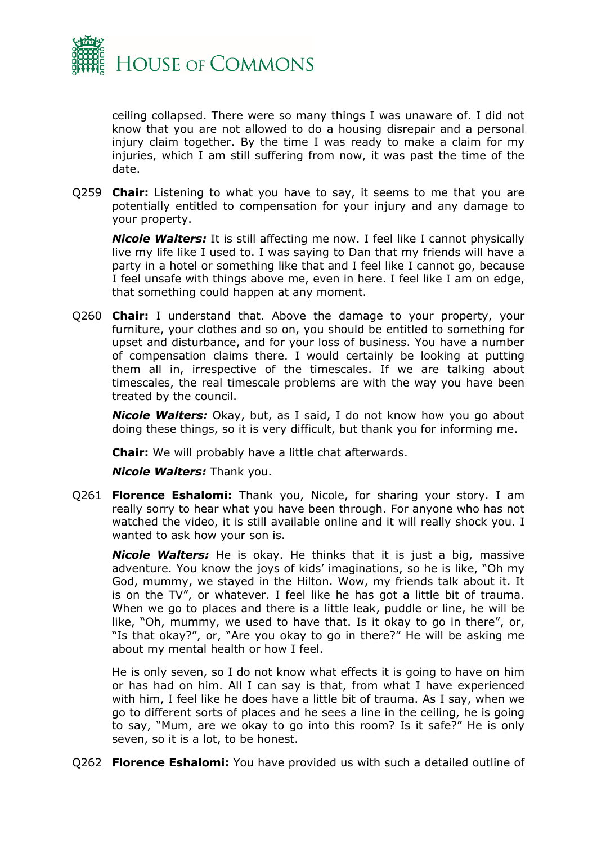

ceiling collapsed. There were so many things I was unaware of. I did not know that you are not allowed to do a housing disrepair and a personal injury claim together. By the time I was ready to make a claim for my injuries, which I am still suffering from now, it was past the time of the date.

Q259 **Chair:** Listening to what you have to say, it seems to me that you are potentially entitled to compensation for your injury and any damage to your property.

*Nicole Walters:* It is still affecting me now. I feel like I cannot physically live my life like I used to. I was saying to Dan that my friends will have a party in a hotel or something like that and I feel like I cannot go, because I feel unsafe with things above me, even in here. I feel like I am on edge, that something could happen at any moment.

Q260 **Chair:** I understand that. Above the damage to your property, your furniture, your clothes and so on, you should be entitled to something for upset and disturbance, and for your loss of business. You have a number of compensation claims there. I would certainly be looking at putting them all in, irrespective of the timescales. If we are talking about timescales, the real timescale problems are with the way you have been treated by the council.

*Nicole Walters:* Okay, but, as I said, I do not know how you go about doing these things, so it is very difficult, but thank you for informing me.

**Chair:** We will probably have a little chat afterwards.

*Nicole Walters:* Thank you.

Q261 **Florence Eshalomi:** Thank you, Nicole, for sharing your story. I am really sorry to hear what you have been through. For anyone who has not watched the video, it is still available online and it will really shock you. I wanted to ask how your son is.

*Nicole Walters:* He is okay. He thinks that it is just a big, massive adventure. You know the joys of kids' imaginations, so he is like, "Oh my God, mummy, we stayed in the Hilton. Wow, my friends talk about it. It is on the TV", or whatever. I feel like he has got a little bit of trauma. When we go to places and there is a little leak, puddle or line, he will be like, "Oh, mummy, we used to have that. Is it okay to go in there", or, "Is that okay?", or, "Are you okay to go in there?" He will be asking me about my mental health or how I feel.

He is only seven, so I do not know what effects it is going to have on him or has had on him. All I can say is that, from what I have experienced with him, I feel like he does have a little bit of trauma. As I say, when we go to different sorts of places and he sees a line in the ceiling, he is going to say, "Mum, are we okay to go into this room? Is it safe?" He is only seven, so it is a lot, to be honest.

Q262 **Florence Eshalomi:** You have provided us with such a detailed outline of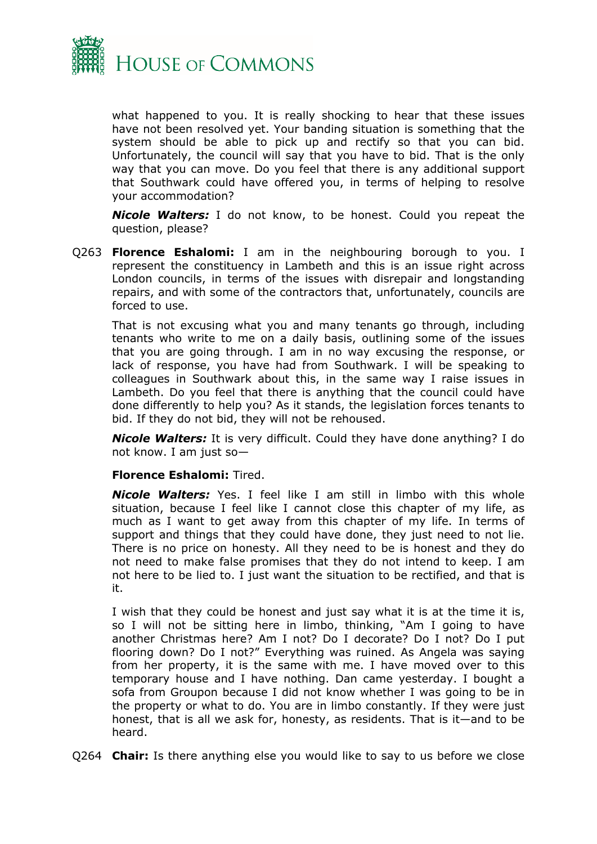

what happened to you. It is really shocking to hear that these issues have not been resolved yet. Your banding situation is something that the system should be able to pick up and rectify so that you can bid. Unfortunately, the council will say that you have to bid. That is the only way that you can move. Do you feel that there is any additional support that Southwark could have offered you, in terms of helping to resolve your accommodation?

*Nicole Walters:* I do not know, to be honest. Could you repeat the question, please?

Q263 **Florence Eshalomi:** I am in the neighbouring borough to you. I represent the constituency in Lambeth and this is an issue right across London councils, in terms of the issues with disrepair and longstanding repairs, and with some of the contractors that, unfortunately, councils are forced to use.

That is not excusing what you and many tenants go through, including tenants who write to me on a daily basis, outlining some of the issues that you are going through. I am in no way excusing the response, or lack of response, you have had from Southwark. I will be speaking to colleagues in Southwark about this, in the same way I raise issues in Lambeth. Do you feel that there is anything that the council could have done differently to help you? As it stands, the legislation forces tenants to bid. If they do not bid, they will not be rehoused.

*Nicole Walters:* It is very difficult. Could they have done anything? I do not know. I am just so—

#### **Florence Eshalomi:** Tired.

*Nicole Walters:* Yes. I feel like I am still in limbo with this whole situation, because I feel like I cannot close this chapter of my life, as much as I want to get away from this chapter of my life. In terms of support and things that they could have done, they just need to not lie. There is no price on honesty. All they need to be is honest and they do not need to make false promises that they do not intend to keep. I am not here to be lied to. I just want the situation to be rectified, and that is it.

I wish that they could be honest and just say what it is at the time it is, so I will not be sitting here in limbo, thinking, "Am I going to have another Christmas here? Am I not? Do I decorate? Do I not? Do I put flooring down? Do I not?" Everything was ruined. As Angela was saying from her property, it is the same with me. I have moved over to this temporary house and I have nothing. Dan came yesterday. I bought a sofa from Groupon because I did not know whether I was going to be in the property or what to do. You are in limbo constantly. If they were just honest, that is all we ask for, honesty, as residents. That is it—and to be heard.

Q264 **Chair:** Is there anything else you would like to say to us before we close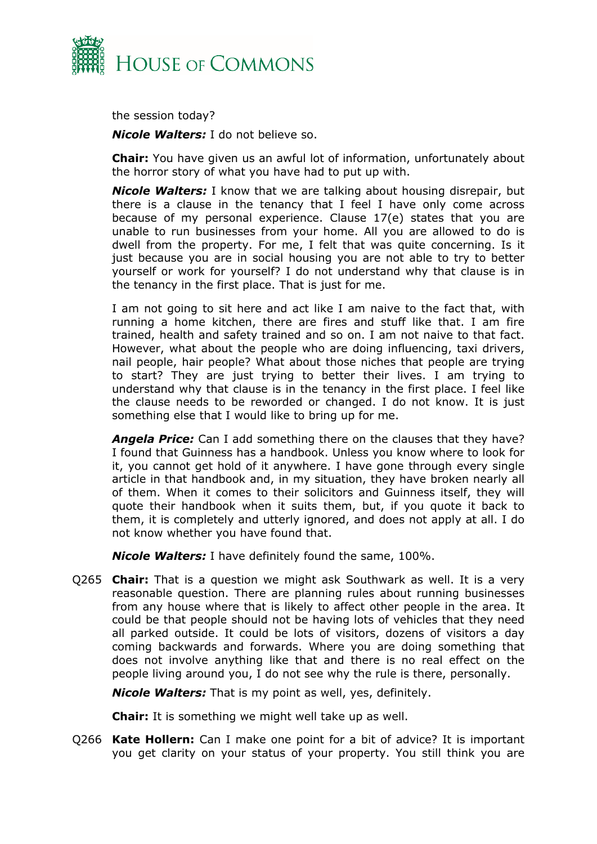

the session today?

*Nicole Walters:* I do not believe so.

**Chair:** You have given us an awful lot of information, unfortunately about the horror story of what you have had to put up with.

*Nicole Walters:* I know that we are talking about housing disrepair, but there is a clause in the tenancy that I feel I have only come across because of my personal experience. Clause 17(e) states that you are unable to run businesses from your home. All you are allowed to do is dwell from the property. For me, I felt that was quite concerning. Is it just because you are in social housing you are not able to try to better yourself or work for yourself? I do not understand why that clause is in the tenancy in the first place. That is just for me.

I am not going to sit here and act like I am naive to the fact that, with running a home kitchen, there are fires and stuff like that. I am fire trained, health and safety trained and so on. I am not naive to that fact. However, what about the people who are doing influencing, taxi drivers, nail people, hair people? What about those niches that people are trying to start? They are just trying to better their lives. I am trying to understand why that clause is in the tenancy in the first place. I feel like the clause needs to be reworded or changed. I do not know. It is just something else that I would like to bring up for me.

*Angela Price:* Can I add something there on the clauses that they have? I found that Guinness has a handbook. Unless you know where to look for it, you cannot get hold of it anywhere. I have gone through every single article in that handbook and, in my situation, they have broken nearly all of them. When it comes to their solicitors and Guinness itself, they will quote their handbook when it suits them, but, if you quote it back to them, it is completely and utterly ignored, and does not apply at all. I do not know whether you have found that.

*Nicole Walters:* I have definitely found the same, 100%.

Q265 **Chair:** That is a question we might ask Southwark as well. It is a very reasonable question. There are planning rules about running businesses from any house where that is likely to affect other people in the area. It could be that people should not be having lots of vehicles that they need all parked outside. It could be lots of visitors, dozens of visitors a day coming backwards and forwards. Where you are doing something that does not involve anything like that and there is no real effect on the people living around you, I do not see why the rule is there, personally.

*Nicole Walters:* That is my point as well, yes, definitely.

**Chair:** It is something we might well take up as well.

Q266 **Kate Hollern:** Can I make one point for a bit of advice? It is important you get clarity on your status of your property. You still think you are